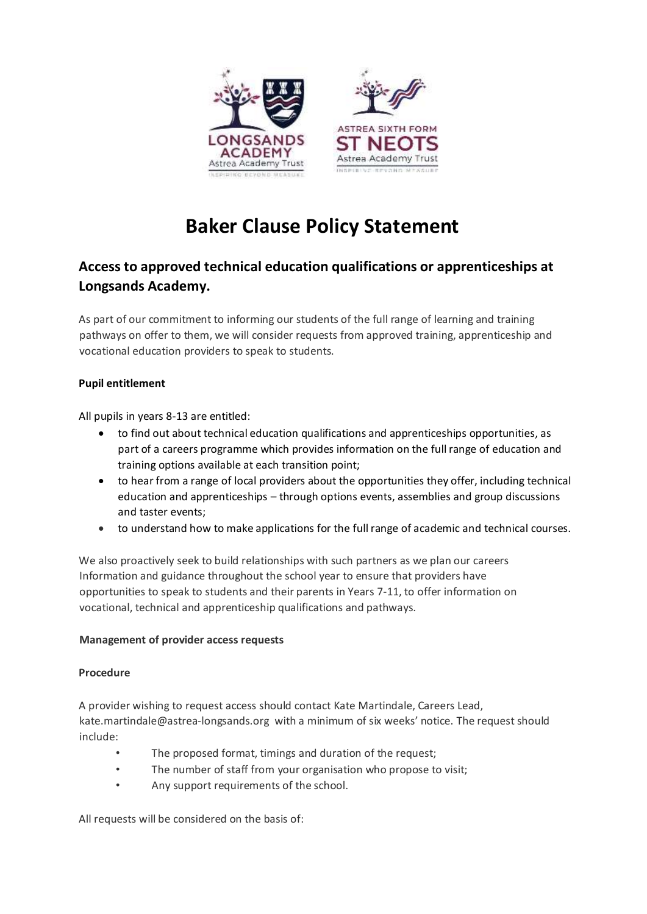

# **Baker Clause Policy Statement**

# **Access to approved technical education qualifications or apprenticeships at Longsands Academy.**

As part of our commitment to informing our students of the full range of learning and training pathways on offer to them, we will consider requests from approved training, apprenticeship and vocational education providers to speak to students.

# **Pupil entitlement**

All pupils in years 8-13 are entitled:

- to find out about technical education qualifications and apprenticeships opportunities, as part of a careers programme which provides information on the full range of education and training options available at each transition point;
- to hear from a range of local providers about the opportunities they offer, including technical education and apprenticeships – through options events, assemblies and group discussions and taster events;
- to understand how to make applications for the full range of academic and technical courses.

We also proactively seek to build relationships with such partners as we plan our careers Information and guidance throughout the school year to ensure that providers have opportunities to speak to students and their parents in Years 7‐11, to offer information on vocational, technical and apprenticeship qualifications and pathways.

## **Management of provider access requests**

#### **Procedure**

A provider wishing to request access should contact Kate Martindale, Careers Lead, kate.martindale@astrea-longsands.org with a minimum of six weeks' notice. The request should include:

- The proposed format, timings and duration of the request;
- The number of staff from your organisation who propose to visit;
- Any support requirements of the school.

All requests will be considered on the basis of: